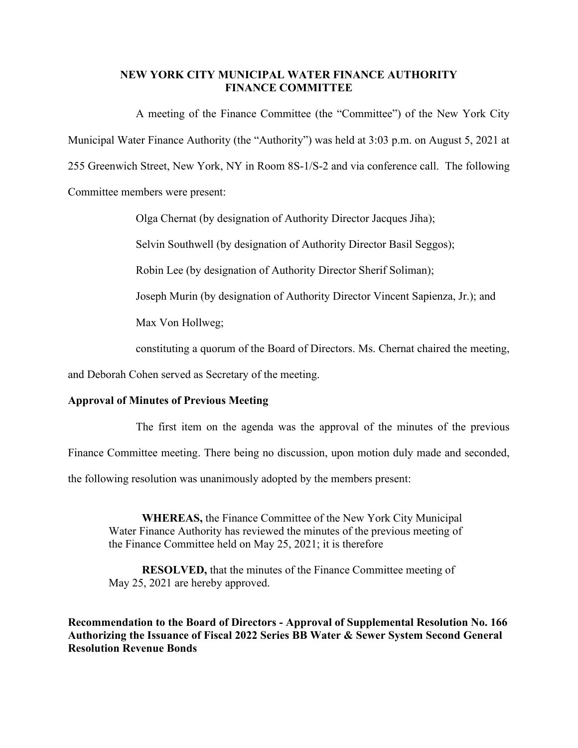## **NEW YORK CITY MUNICIPAL WATER FINANCE AUTHORITY FINANCE COMMITTEE**

A meeting of the Finance Committee (the "Committee") of the New York City Municipal Water Finance Authority (the "Authority") was held at 3:03 p.m. on August 5, 2021 at 255 Greenwich Street, New York, NY in Room 8S-1/S-2 and via conference call. The following Committee members were present:

Olga Chernat (by designation of Authority Director Jacques Jiha);

Selvin Southwell (by designation of Authority Director Basil Seggos);

Robin Lee (by designation of Authority Director Sherif Soliman);

Joseph Murin (by designation of Authority Director Vincent Sapienza, Jr.); and

Max Von Hollweg;

constituting a quorum of the Board of Directors. Ms. Chernat chaired the meeting,

and Deborah Cohen served as Secretary of the meeting.

## **Approval of Minutes of Previous Meeting**

The first item on the agenda was the approval of the minutes of the previous

Finance Committee meeting. There being no discussion, upon motion duly made and seconded,

the following resolution was unanimously adopted by the members present:

**WHEREAS,** the Finance Committee of the New York City Municipal Water Finance Authority has reviewed the minutes of the previous meeting of the Finance Committee held on May 25, 2021; it is therefore

**RESOLVED,** that the minutes of the Finance Committee meeting of May 25, 2021 are hereby approved.

**Recommendation to the Board of Directors - Approval of Supplemental Resolution No. 166 Authorizing the Issuance of Fiscal 2022 Series BB Water & Sewer System Second General Resolution Revenue Bonds**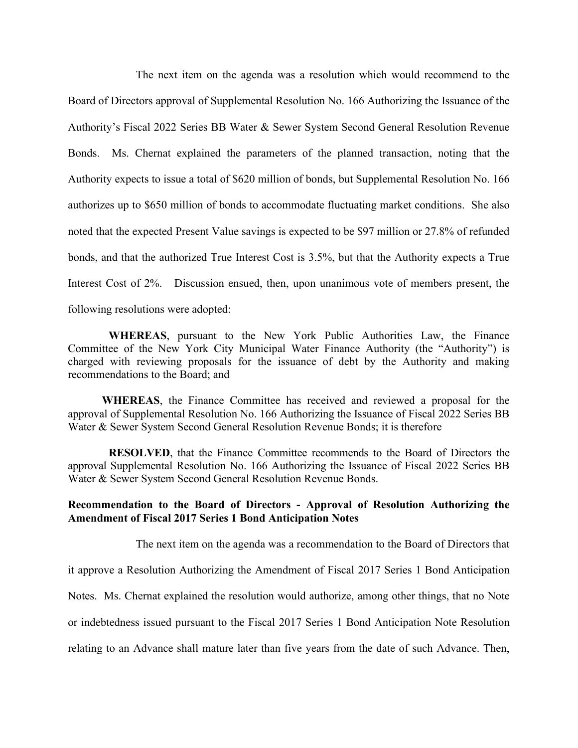The next item on the agenda was a resolution which would recommend to the Board of Directors approval of Supplemental Resolution No. 166 Authorizing the Issuance of the Authority's Fiscal 2022 Series BB Water & Sewer System Second General Resolution Revenue Bonds. Ms. Chernat explained the parameters of the planned transaction, noting that the Authority expects to issue a total of \$620 million of bonds, but Supplemental Resolution No. 166 authorizes up to \$650 million of bonds to accommodate fluctuating market conditions. She also noted that the expected Present Value savings is expected to be \$97 million or 27.8% of refunded bonds, and that the authorized True Interest Cost is 3.5%, but that the Authority expects a True Interest Cost of 2%. Discussion ensued, then, upon unanimous vote of members present, the following resolutions were adopted:

**WHEREAS**, pursuant to the New York Public Authorities Law, the Finance Committee of the New York City Municipal Water Finance Authority (the "Authority") is charged with reviewing proposals for the issuance of debt by the Authority and making recommendations to the Board; and

**WHEREAS**, the Finance Committee has received and reviewed a proposal for the approval of Supplemental Resolution No. 166 Authorizing the Issuance of Fiscal 2022 Series BB Water & Sewer System Second General Resolution Revenue Bonds; it is therefore

**RESOLVED**, that the Finance Committee recommends to the Board of Directors the approval Supplemental Resolution No. 166 Authorizing the Issuance of Fiscal 2022 Series BB Water & Sewer System Second General Resolution Revenue Bonds.

## **Recommendation to the Board of Directors - Approval of Resolution Authorizing the Amendment of Fiscal 2017 Series 1 Bond Anticipation Notes**

The next item on the agenda was a recommendation to the Board of Directors that

it approve a Resolution Authorizing the Amendment of Fiscal 2017 Series 1 Bond Anticipation

Notes. Ms. Chernat explained the resolution would authorize, among other things, that no Note

or indebtedness issued pursuant to the Fiscal 2017 Series 1 Bond Anticipation Note Resolution

relating to an Advance shall mature later than five years from the date of such Advance. Then,